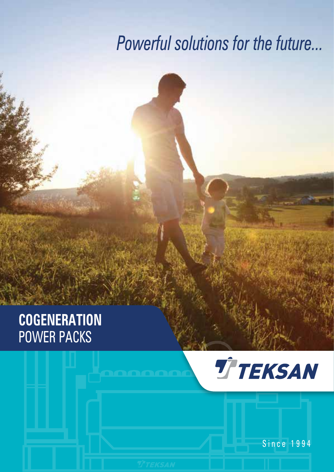# *Powerful solutions for the future...*

## **COGENERATION** POWER PACKS



Since 1994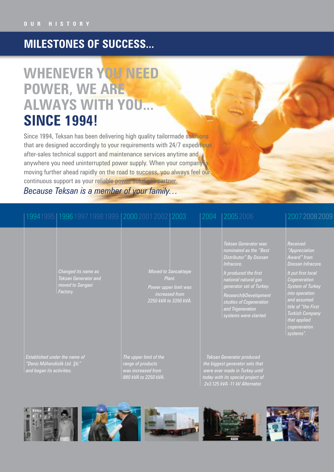### **MILESTONES OF SUCCESS...**

### **WHENEVER YOU NEED POWER, WE ARE ALWAYS WITH YOU... SINCE 1994!**

Since 1994, Teksan has been delivering high quality tailormade solutions that are designed accordingly to your requirements with 24/7 expeditious after-sales technical support and maintenance services anytime and anywhere you need uninterrupted power supply. When your company is moving further ahead rapidly on the road to success, you always feel our continuous support as your reliable power solutions partner.

### *Because Teksan is a member of your family…*

|                                                                                             |  | 19941995   1996 1997 1998 1999   2000 2001 2002   2003                       |                                                                                                          | 2004 | 120052006                                                                                                                                                                                                                                                            | 200720082009                                                                                                                                                                                                                                                  |
|---------------------------------------------------------------------------------------------|--|------------------------------------------------------------------------------|----------------------------------------------------------------------------------------------------------|------|----------------------------------------------------------------------------------------------------------------------------------------------------------------------------------------------------------------------------------------------------------------------|---------------------------------------------------------------------------------------------------------------------------------------------------------------------------------------------------------------------------------------------------------------|
|                                                                                             |  | Changed its name as<br>Teksan Generator and<br>moved to Sarigazi<br>Factory. | <b>Moved to Sancaktepe</b><br>Plant.<br>Power upper limit was<br>increased from<br>2250 kVA to 3350 kVA. |      | Teksan Generator was<br>nominated as the "Best<br>Distributor" By Doosan<br>Infracore.<br>It produced the first<br>national natural gas<br>generator set of Turkey.<br>Research&Development<br>studies of Cogeneration<br>and Trigeneration<br>systems were started. | Received<br>"Appreciation<br>Award" from<br>Doosan Infracore.<br>It put first local<br>Cogeneration<br><b>System of Turkey</b><br>into operation<br>and assumed<br>title of "the First<br><b>Turkish Company</b><br>that applied<br>cogeneration<br>systems". |
| Established under the name of<br>"Deniz Mühendislik Ltd. Şti."<br>and began its activities. |  |                                                                              | The upper limit of the<br>range of products<br>was increased from<br>880 kVA to 2250 kVA.                |      | <b>Teksan Generator produced</b><br>the biggest generator sets that<br>were ever made in Turkey until<br>today with its special project of                                                                                                                           |                                                                                                                                                                                                                                                               |



*2x3.125 kVA -11 kV Alternator.*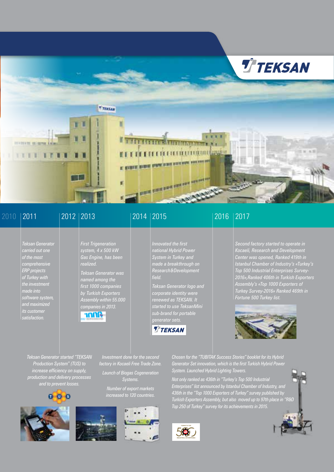

### 2010

*Teksan Generator carried out one of the most comprehensive ERP projects of Turkey with* 

*made into software system, and maximized its customer satisfaction.*

*First Trigeneration system, 4 x 500 kW* 

*named among the first 1000 companies by Turkish Exporters* 

*companies in 2013.*

Amr

*realized.*

#### *Gas Engine, has been Innovated the first national Hybrid Power System in Turkey and made a breakthrough on Research&Development field.*

#### *Assembly within 55.000 Teksan Generator logo and corporate identity were renewed as TEKSAN. It started to use TeksanMini sub-brand for portable*



### 2011 2012 2013 2014 2015 2016 2017

*Second factory started to operate in Kocaeli, Research and Development Center was opened, Ranked 419th in Istanbul Chamber of Industry's «Turkey's Top 500 Industrial Enterprises Survey-2016»,Ranked 406th in Turkish Exporters Assembly's «Top 1000 Exporters of Turkey Survey-2016» Ranked 469th in Fortune 500 Turkey list.*



*Teksan Generator started "TEKSAN Production System" (TUS) to increase efficiency on supply, production and delivery processes and to prevent losses.*









*Investment done for the second factory in Kocaeli Free Trade Zone. Launch of Biogas Cogeneration Systems. Number of export markets increased to 120 countries.*

*System. Launched Hybrid Lighting Towers. Not only ranked as 436th in "Turkey's Top 500 Industrial Enterprises" list announced by Istanbul Chamber of Industry, and 436th in the "Top 1000 Exporters of Turkey" survey published by Turkish Exporters Assembly, but also moved up to 97th place in "R&D Top 250 of Turkey" survey for its achievements in 2015.*

*Chosen for the "TUBITAK Success Stories" booklet for its Hybrid Generator Set innovation, which is the first Turkish Hybrid Power* 



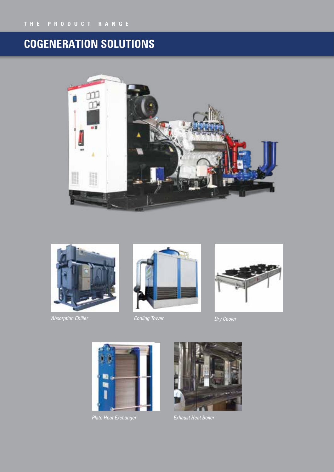### **COGENERATION SOLUTIONS**





*Absorption Chiller Cooling Tower Dry Cooler*







*Plate Heat Exchanger*



*Exhaust Heat Boiler*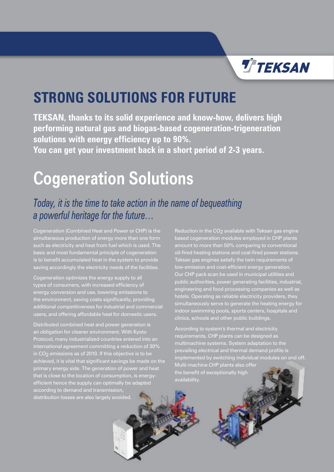

### **STRONG SOLUTIONS FOR FUTURE**

**TEKSAN, thanks to its solid experience and know-how, delivers high performing natural gas and biogas-based cogeneration-trigeneration solutions with energy efficiency up to 90%. You can get your investment back in a short period of 2-3 years.**

## **Cogeneration Solutions**

### *Today, it is the time to take action in the name of bequeathing a powerful heritage for the future…*

Cogeneration (Combined Heat and Power or CHP) is the simultaneous production of energy more than one form basic and most fundamental principle of cogeneration is to benefit accumulated heat in the system to provide saving accordingly the electricity needs of the facilities.

Cogeneration optimizes the energy supply to all types of consumers, with increased efficiency of energy conversion and use, lowering emissions to the environment, saving costs significantly, providing additional competitiveness for industrial and commercial users, and offering affordable heat for domestic users.

Distributed combined heat and power generation is an obligation for cleaner environment. With Kyoto international agreement committing a reduction of 30% in CO<sub>2</sub> emissions as of 2010. If this objective is to be achieved, it is vital that significant savings be made on the primary energy side. The generation of power and heat that is close to the location of consumption, is energyefficient hence the supply can optimally be adapted according to demand and transmission, distribution losses are also largely avoided.

Reduction in the CO<sub>2</sub> available with Teksan gas engine based cogeneration modules employed in CHP plants amount to more than 50% comparing to conventional oil-fired heating stations and coal-fired power stations. Teksan gas engines satisfy the twin requirements of Our CHP pack scan be used in municipal utilities and public authorities, power generating facilities, industrial, engineering and food processing companies as well as hotels. Operating as reliable electricity providers, they simultaneously serve to generate the heating energy for indoor swimming pools, sports centers, hospitals and clinics, schools and other public buildings.

According to system's thermal and electricity requirements, CHP plants can be designed as multimachine systems. System adaptation to the prevailing electrical and thermal demand profile is implemented by switching individual modules on and off. Multi-machine CHP plants also offer the benefit of exceptionally high availability.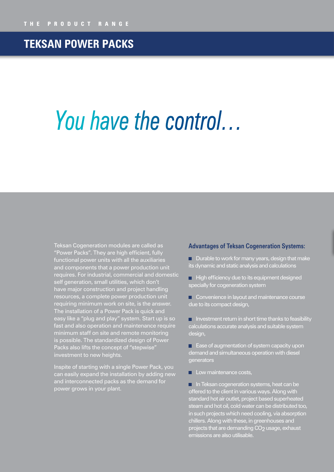### **TEKSAN POWER PACKS**

# *You have the control…*

Teksan Cogeneration modules are called as "Power Packs". They are high efficient, fully functional power units with all the auxiliaries and components that a power production unit requires. For industrial, commercial and domestic self generation, small utilities, which don't have major construction and project handling resources, a complete power production unit requiring minimum work on site, is the answer. The installation of a Power Pack is quick and easy like a "plug and play" system. Start up is so fast and also operation and maintenance require minimum staff on site and remote monitoring is possible. The standardized design of Power Packs also lifts the concept of "stepwise" investment to new heights.

Inspite of starting with a single Power Pack, you can easily expand the installation by adding new and interconnected packs as the demand for power grows in your plant.

#### **Advantages of Teksan Cogeneration Systems:**

 $\blacksquare$  Durable to work for many years, design that make its dynamic and static analysis and calculations

 $\Box$  High efficiency due to its equipment designed specially for cogeneration system

Convenience in layout and maintenance course due to its compact design,

 $\blacksquare$  Investment return in short time thanks to feasibility calculations accurate analysis and suitable system design,

**E** Ease of augmentation of system capacity upon demand and simultaneous operation with diesel **generators** 

 $\blacksquare$  Low maintenance costs,

**In Teksan cogeneration systems, heat can be** offered to the client in various ways. Along with standard hot air outlet, project based superheated steam and hot oil, cold water can be distributed too, in such projects which need cooling, via absorption chillers. Along with these, in greenhouses and projects that are demanding CO<sub>2</sub> usage, exhaust emissions are also utilisable.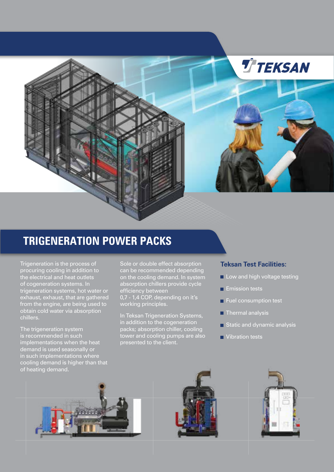

### **TRIGENERATION POWER PACKS**

Trigeneration is the process of procuring cooling in addition to the electrical and heat outlets of cogeneration systems. In trigeneration systems, hot water or exhaust, exhaust, that are gathered from the engine, are being used to obtain cold water via absorption chillers.

The trigeneration system is recommended in such implementations when the heat demand is used seasonally or in such implementations where cooling demand is higher than that of heating demand.

Sole or double effect absorption can be recommended depending on the cooling demand. In system absorption chillers provide cycle efficiency between 0,7 - 1,4 COP, depending on it's working principles.

In Teksan Trigeneration Systems, in addition to the cogeneration packs; absorption chiller, cooling tower and cooling pumps are also presented to the client.

#### **Teksan Test Facilities:**

- Low and high voltage testing
- $\blacksquare$  Emission tests
- п Fuel consumption test
- Thermal analysis г
- Static and dynamic analysis г
- Vibration testsш





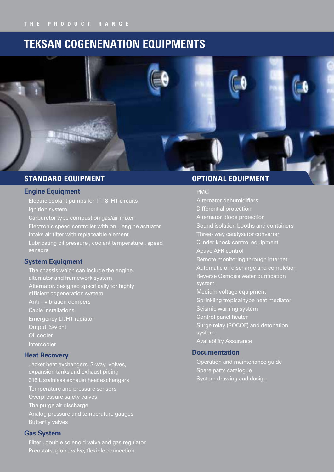### **TEKSAN COGENENATION EQUIPMENTS**



### **STANDARD EQUIPMENT**

#### **Engine Equiqment**

Electric coolant pumps for 1 T 8 HT circuits Ignition system Carburetor type combustion gas/air mixer Electronic speed controller with on – engine actuator Intake air filter with replaceable element Lubricating oil pressure , coolant temperature , speed sensors

#### **System Equiqment**

The chassis which can include the engine, alternator and framework system Alternator, designed specifically for highly efficient cogeneration system Anti – vibration dempers Cable installations Emergency LT/HT radiator Output Swicht Oil cooler Intercooler

#### **Heat Recovery**

Jacket heat exchangers, 3-way volves, expansion tanks and exhaust piping 316 L stainless exhaust heat exchangers Temperature and pressure sensors Overpressure safety valves The purge air discharge Analog pressure and temperature gauges Butterfly valves

#### **Gas System**

Filter , double solenoid valve and gas regulator Preostats, globe valve, flexible connection

### **OPTIONAL EQUIPMENT**

PMG

Alternator dehumidifiers Differential protection Alternator diode protection Sound isolation booths and containers Three- way catalysator converter Clinder knock control equipment Active AFR control Remote monitoring through internet Automatic oil discharge and completion Reverse Osmosis water purification system Medium voltage equipment Sprinkling tropical type heat mediator Seismic warning system Control panel heater Surge relay (ROCOF) and detonation system Availability Assurance

### **Documentation**

Operation and maintenance guide Spare parts catalogue System drawing and design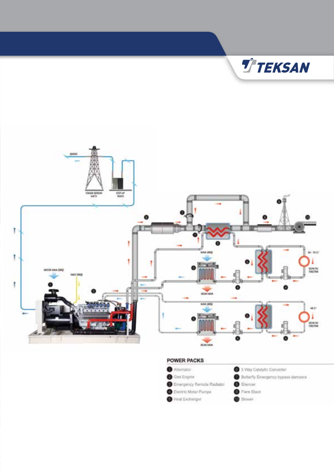

#### **POWER PACKS**

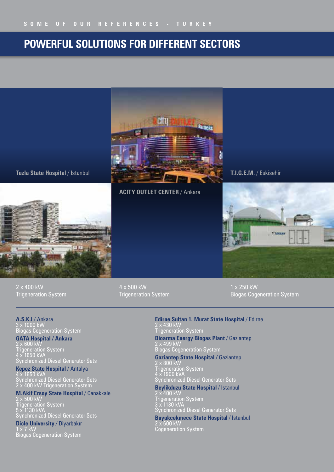### **POWERFUL SOLUTIONS FOR DIFFERENT SECTORS**



**Tuzla State Hospital** / Istanbul

#### **ACITY OUTLET CENTER** / Ankara

**T.I.G.E.M.** / Eskisehir



2 x 400 kW Trigeneration System 4 x 500 kW Trigeneration System 1 x 250 kW Biogas Cogeneration System

**A.S.K.I** / Ankara 3 x 1000 kW Biogas Cogeneration System

**GATA Hospital / Ankara** 2 x 600 kW Trigeneration System

4 x 1650 kVA Synchronized Diesel Generator Sets

**Kepez State Hospital** / Antalya 4 x 1650 kVA Synchronized Diesel Generator Sets 2 x 400 kW Trigeneration System

### **M.Akif Ersoy State Hospital** / Canakkale

2 x 500 kW Trigeneration System 5 x 1130 kVA Synchronized Diesel Generator Sets

**Dicle University** / Diyarbakır 1 x 7 kW Biogas Cogeneration System

**Edirne Sultan 1. Murat State Hospital** / Edirne 2 x 430 kW Trigeneration System

**Bioarma Energy Biogas Plant / Gaziantep**  $2$  x 499 kW Biogas Cogeneration System

**Gaziantep State Hospital /** Gaziantep 2 x 800 kW Trigeneration System 4 x 1900 kVA Synchronized Diesel Generator Sets

**Beylikduzu State Hospital** / Istanbul

2 x 400 kW Trigeneration System 3 x 1130 kVA Synchronized Diesel Generator Sets

**Buyukcekmece State Hospital** / Istanbul 2 x 600 kW Cogeneration System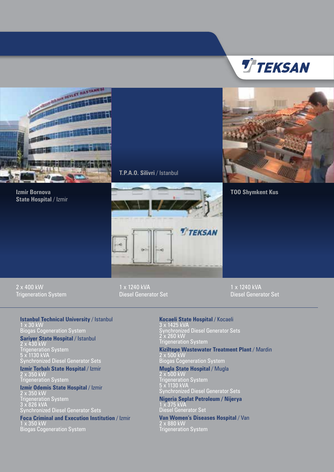





S DEVLET HAS TANKS  $\mathcal{M}$ 

> **Izmir Bornova State Hospital / Izmir**

**T.P.A.O. Silivri** / Istanbul



2 x 400 kW Trigeneration System 1 x 1240 kVA Diesel Generator Set 1 x 1240 kVA Diesel Generator Set

**Istanbul Technical University** / Istanbul 1 x 30 kW Biogas Cogeneration System

**Sariyer State Hospital / Istanbul** 2 x 430 kW

Trigeneration System 5 x 1130 kVA Synchronized Diesel Generator Sets

**Izmir Torbalı State Hospital** / Izmir 2 x 350 kW Trigeneration System

**Izmir Odemis State Hospital** / Izmir

2 x 350 kW Trigeneration System 3 x 826 kVA Synchronized Diesel Generator Sets

**Foca Criminal and Execution Institution** / Izmir

1 x 350 kW Biogas Cogeneration System **Kocaeli State Hospital** / Kocaeli 3 x 1425 kVA Synchronized Diesel Generator Sets 2 x 260 kW Trigeneration System

**Kiziltepe Wastewater Treatment Plant** / Mardin 2 x 500 kW Biogas Cogeneration System

**Mugla State Hospital** / Mugla 2 x 500 kW Trigeneration System 5 x 1130 kVA Synchronized Diesel Generator Sets

**Nigeria Seplat Petroleum / Nijerya** 1 x 375 kVA Diesel Generator Set

**Van Women's Diseases Hospital** / Van 2 x 880 kW Trigeneration System